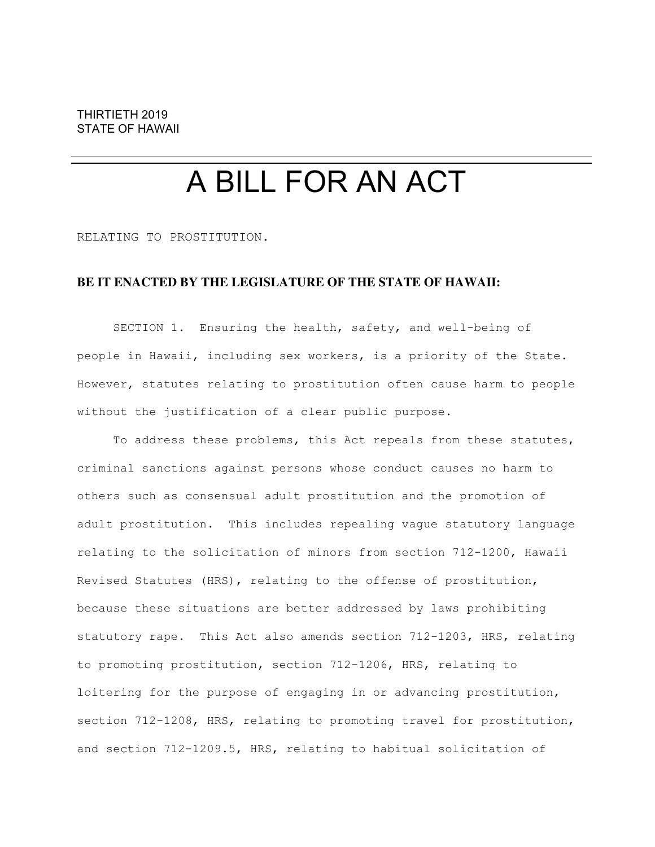# A BILL FOR AN ACT

RELATING TO PROSTITUTION.

## **BE IT ENACTED BY THE LEGISLATURE OF THE STATE OF HAWAII:**

SECTION 1. Ensuring the health, safety, and well-being of people in Hawaii, including sex workers, is a priority of the State. However, statutes relating to prostitution often cause harm to people without the justification of a clear public purpose.

To address these problems, this Act repeals from these statutes, criminal sanctions against persons whose conduct causes no harm to others such as consensual adult prostitution and the promotion of adult prostitution. This includes repealing vague statutory language relating to the solicitation of minors from section 712-1200, Hawaii Revised Statutes (HRS), relating to the offense of prostitution, because these situations are better addressed by laws prohibiting statutory rape. This Act also amends section 712-1203, HRS, relating to promoting prostitution, section 712-1206, HRS, relating to loitering for the purpose of engaging in or advancing prostitution, section 712-1208, HRS, relating to promoting travel for prostitution, and section 712-1209.5, HRS, relating to habitual solicitation of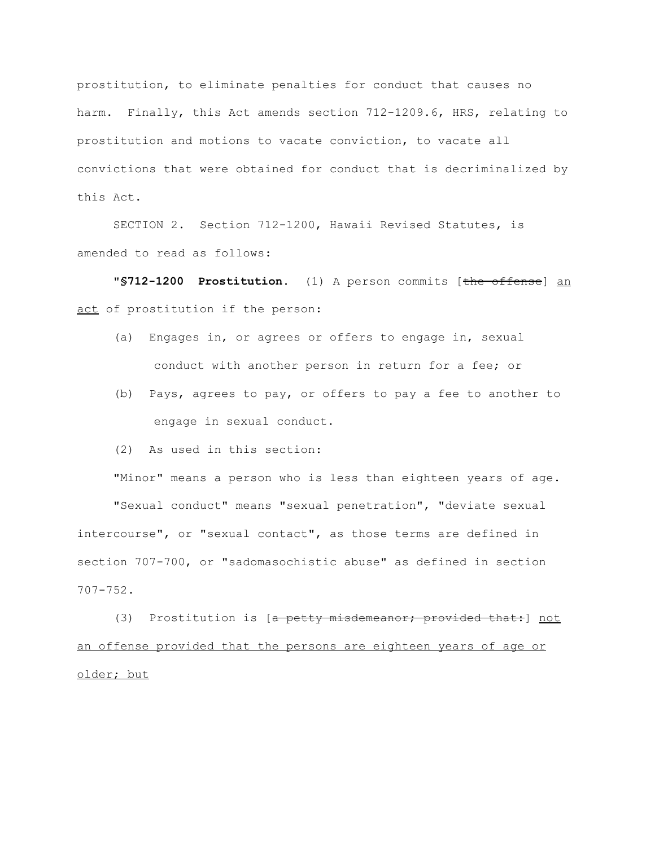prostitution, to eliminate penalties for conduct that causes no harm. Finally, this Act amends section 712-1209.6, HRS, relating to prostitution and motions to vacate conviction, to vacate all convictions that were obtained for conduct that is decriminalized by this Act.

SECTION 2. Section 712-1200, Hawaii Revised Statutes, is amended to read as follows:

"**§712-1200 Prostitution.** (1) A person commits [the offense] an act of prostitution if the person:

- (a) Engages in, or agrees or offers to engage in, sexual conduct with another person in return for a fee; or
- (b) Pays, agrees to pay, or offers to pay a fee to another to engage in sexual conduct.
- (2) As used in this section:

"Minor" means a person who is less than eighteen years of age.

"Sexual conduct" means "sexual penetration", "deviate sexual intercourse", or "sexual contact", as those terms are defined in section 707-700, or "sadomasochistic abuse" as defined in section 707-752.

(3) Prostitution is [a petty misdemeanor; provided that: ] not an offense provided that the persons are eighteen years of age or older; but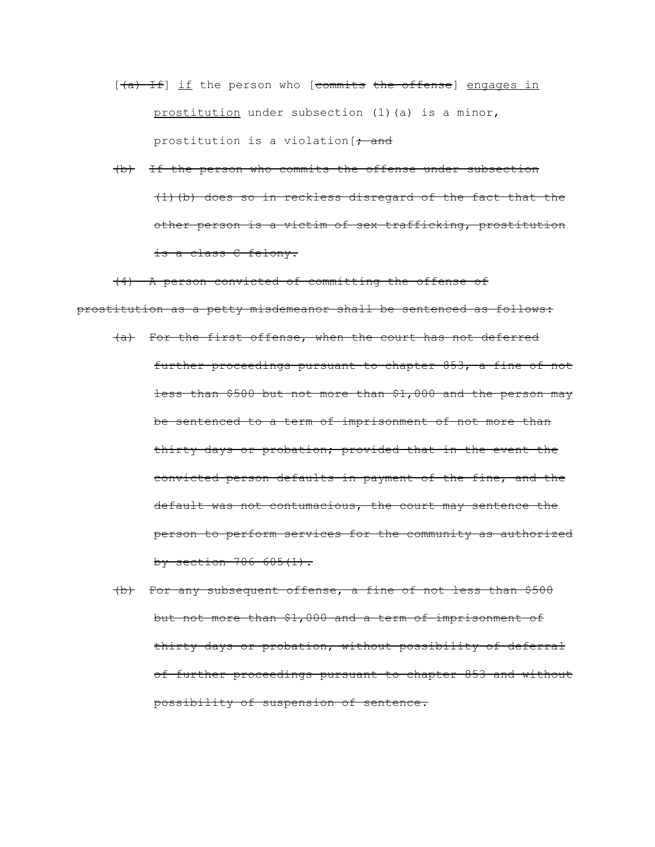- $[\frac{a}{b} + \frac{b}{c}]$  if the person who [commits the offense] engages in prostitution under subsection (1)(a) is a minor, prostitution is a violation  $\rightarrow$  and
- (b) If the person who commits the offense under subsection (1)(b) does so in reckless disregard of the fact that the other person is a victim of sex trafficking, prostitution is a class C felony.

(4) A person convicted of committing the offense of prostitution as a petty misdemeanor shall be sentenced as follows:

- (a) For the first offense, when the court has not deferred further proceedings pursuant to chapter 853, a fine of not less than \$500 but not more than \$1,000 and the person may be sentenced to a term of imprisonment of not more than thirty days or probation; provided that in the event the convicted person defaults in payment of the fine, and the default was not contumacious, the court may sentence the person to perform services for the community as authorized by section  $706 - 605(1)$ .
- (b) For any subsequent offense, a fine of not less than \$500 but not more than \$1,000 and a term of imprisonment of thirty days or probation, without possibility of deferral of further proceedings pursuant to chapter 853 and without possibility of suspension of sentence.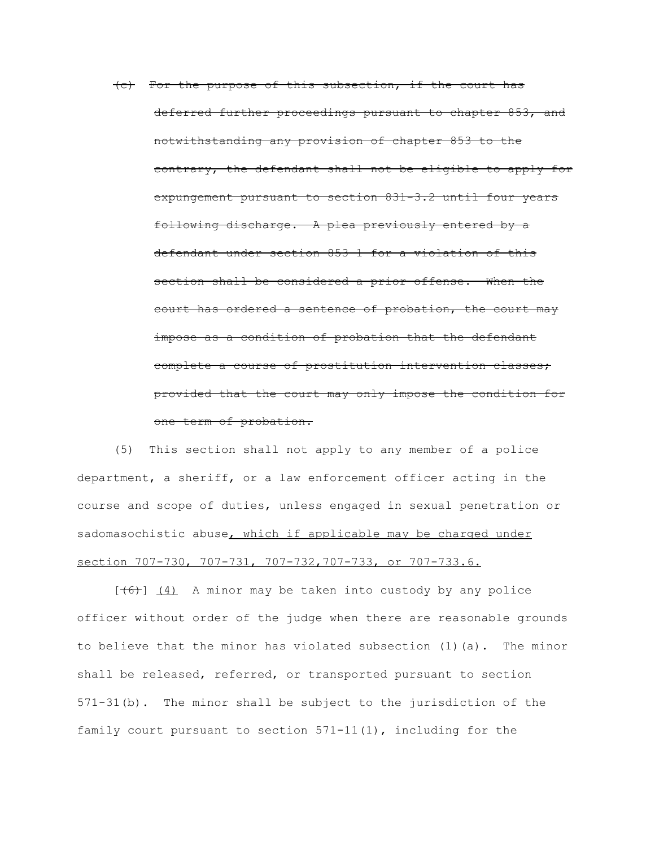(c) For the purpose of this subsection, if the court has deferred further proceedings pursuant to chapter 853, and notwithstanding any provision of chapter 853 to the contrary, the defendant shall not be eligible to apply for expungement pursuant to section 831-3.2 until four years following discharge. A plea previously entered by a defendant under section 853-1 for a violation of this section shall be considered a prior offense. When the court has ordered a sentence of probation, the court may impose as a condition of probation that the defendant complete a course of prostitution intervention classes; provided that the court may only impose the condition for one term of probation.

(5) This section shall not apply to any member of a police department, a sheriff, or a law enforcement officer acting in the course and scope of duties, unless engaged in sexual penetration or sadomasochistic abuse, which if applicable may be charged under section 707-730, 707-731, 707-732, 707-733, or 707-733.6.

 $[\frac{(6)}{4}]$  (4) A minor may be taken into custody by any police officer without order of the judge when there are reasonable grounds to believe that the minor has violated subsection (1)(a). The minor shall be released, referred, or transported pursuant to section 571-31(b). The minor shall be subject to the jurisdiction of the family court pursuant to section  $571-11(1)$ , including for the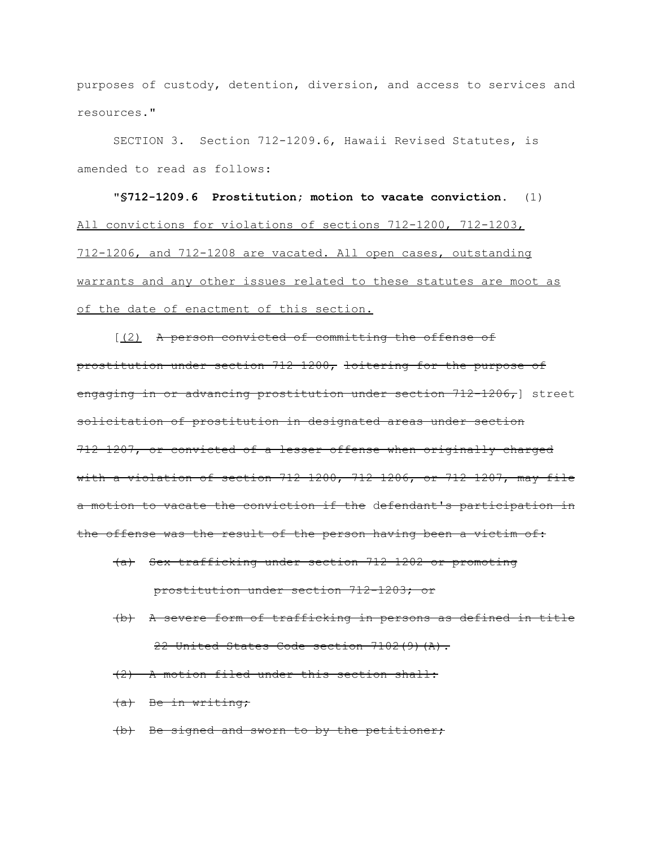purposes of custody, detention, diversion, and access to services and resources."

SECTION 3. Section 712-1209.6, Hawaii Revised Statutes, is amended to read as follows:

"**§712-1209.6 Prostitution; motion to vacate conviction.** (1) All convictions for violations of sections 712-1200, 712-1203, 712-1206, and 712-1208 are vacated. All open cases, outstanding warrants and any other issues related to these statutes are moot as of the date of enactment of this section.

[(2) A person convicted of committing the offense of prostitution under section 712-1200, loitering for the purpose of engaging in or advancing prostitution under section 712-1206, J street solicitation of prostitution in designated areas under section 712-1207, or convicted of a lesser offense when originally charged with a violation of section 712-1200, 712-1206, or 712-1207, may file a motion to vacate the conviction if the defendant's participation in the offense was the result of the person having been a victim of:

- (a) Sex trafficking under section 712-1202 or promoting prostitution under section 712-1203; or
- (b) A severe form of trafficking in persons as defined in title 22 United States Code section 7102(9)(A).
- (2) A motion filed under this section shall:
- (a) Be in writing;
- (b) Be signed and sworn to by the petitioner;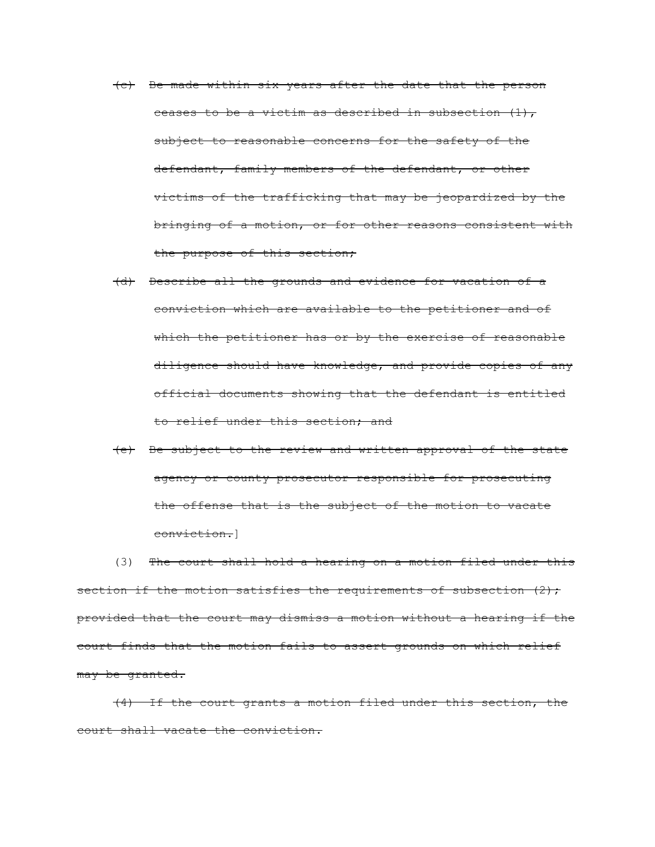- (c) Be made within six years after the date that the person ceases to be a victim as described in subsection  $(1)$ , subject to reasonable concerns for the safety of the defendant, family members of the defendant, or other victims of the trafficking that may be jeopardized by the bringing of a motion, or for other reasons consistent with the purpose of this section;
- (d) Describe all the grounds and evidence for vacation of a conviction which are available to the petitioner and of which the petitioner has or by the exercise of reasonable diligence should have knowledge, and provide copies of any official documents showing that the defendant is entitled to relief under this section; and
- (e) Be subject to the review and written approval of the state agency or county prosecutor responsible for prosecuting the offense that is the subject of the motion to vacate conviction.]

(3) The court shall hold a hearing on a motion filed under this section if the motion satisfies the requirements of subsection  $(2)$ ; provided that the court may dismiss a motion without a hearing if the court finds that the motion fails to assert grounds on which relief may be granted.

(4) If the court grants a motion filed under this section, the court shall vacate the conviction.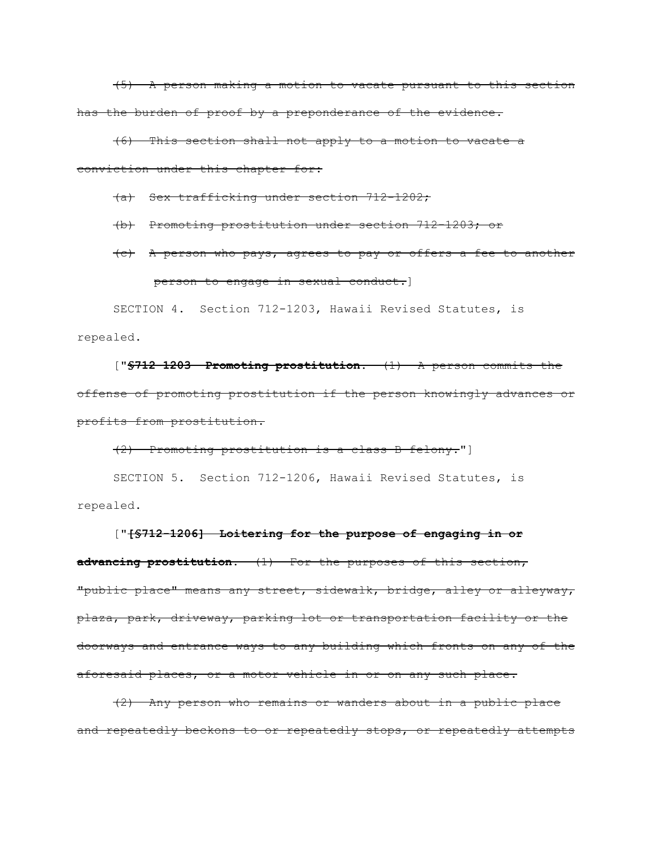(5) A person making a motion to vacate pursuant to this section has the burden of proof by a preponderance of the evidence.

(6) This section shall not apply to a motion to vacate a conviction under this chapter for:

(a) Sex trafficking under section 712-1202;

(b) Promoting prostitution under section 712-1203; or

# (c) A person who pays, agrees to pay or offers a fee to another person to engage in sexual conduct.]

SECTION 4. Section 712-1203, Hawaii Revised Statutes, is repealed.

["**§712-1203 Promoting prostitution.** (1) A person commits the offense of promoting prostitution if the person knowingly advances or profits from prostitution.

(2) Promoting prostitution is a class B felony."]

SECTION 5. Section 712-1206, Hawaii Revised Statutes, is repealed.

["**[§712-1206] Loitering for the purpose of engaging in or advancing prostitution.** (1) For the purposes of this section, "public place" means any street, sidewalk, bridge, alley or alleyway, plaza, park, driveway, parking lot or transportation facility or the doorways and entrance ways to any building which fronts on any of the aforesaid places, or a motor vehicle in or on any such place.

(2) Any person who remains or wanders about in a public place and repeatedly beckons to or repeatedly stops, or repeatedly attempts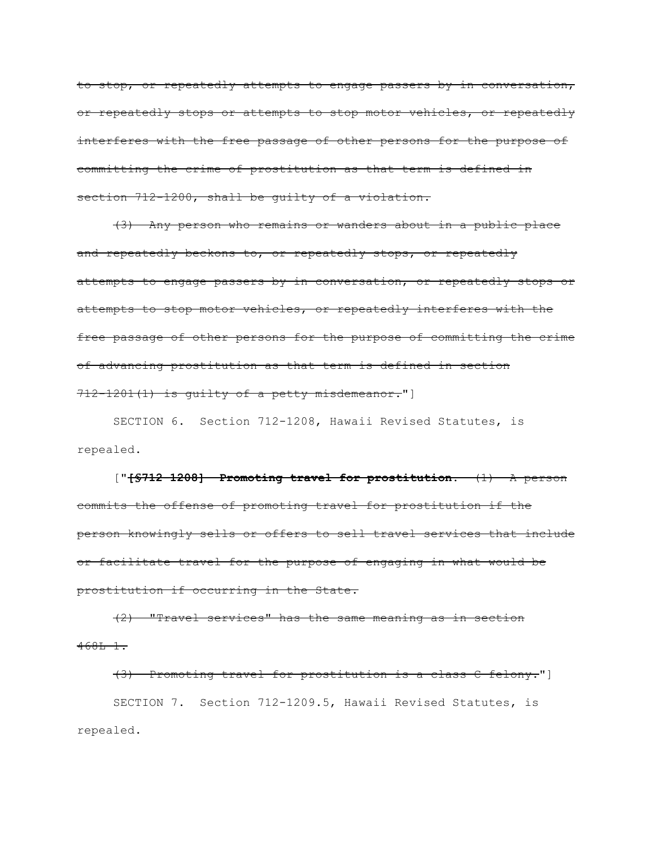to stop, or repeatedly attempts to engage passers-by in conversation, or repeatedly stops or attempts to stop motor vehicles, or repeatedly interferes with the free passage of other persons for the purpose of committing the crime of prostitution as that term is defined in section 712-1200, shall be guilty of a violation.

(3) Any person who remains or wanders about in a public place and repeatedly beckons to, or repeatedly stops, or repeatedly attempts to engage passers-by in conversation, or repeatedly stops or attempts to stop motor vehicles, or repeatedly interferes with the free passage of other persons for the purpose of committing the crime of advancing prostitution as that term is defined in section 712-1201(1) is guilty of a petty misdemeanor."]

SECTION 6. Section 712-1208, Hawaii Revised Statutes, is repealed.

["**[§712-1208] Promoting travel for prostitution.** (1) A person commits the offense of promoting travel for prostitution if the person knowingly sells or offers to sell travel services that include or facilitate travel for the purpose of engaging in what would be prostitution if occurring in the State.

(2) "Travel services" has the same meaning as in section  $468L-1.$ 

(3) Promoting travel for prostitution is a class C felony."] SECTION 7. Section 712-1209.5, Hawaii Revised Statutes, is repealed.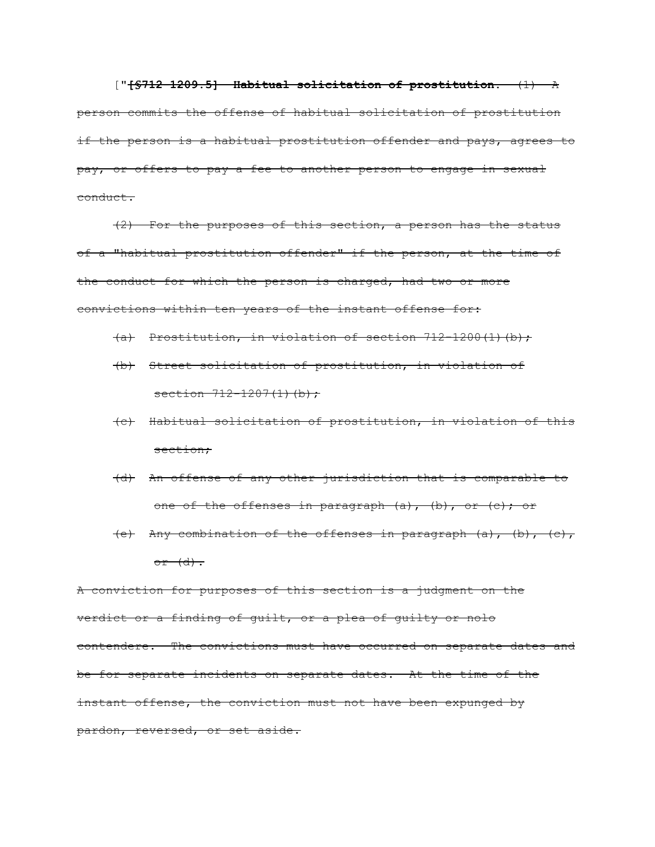["**[§712-1209.5] Habitual solicitation of prostitution.** (1) A person commits the offense of habitual solicitation of prostitution if the person is a habitual prostitution offender and pays, agrees to pay, or offers to pay a fee to another person to engage in sexual conduct.

(2) For the purposes of this section, a person has the status of a "habitual prostitution offender" if the person, at the time of the conduct for which the person is charged, had two or more convictions within ten years of the instant offense for:

- $(a)$  Prostitution, in violation of section 712-1200(1)(b);
- (b) Street solicitation of prostitution, in violation of section  $712 - 1207(1)$  (b);
- (c) Habitual solicitation of prostitution, in violation of this section;
- (d) An offense of any other jurisdiction that is comparable to one of the offenses in paragraph (a), (b), or (c); or
- (e) Any combination of the offenses in paragraph (a), (b), (c),  $or$   $(d)$ .

A conviction for purposes of this section is a judgment on the verdict or a finding of guilt, or a plea of guilty or nolo contendere. The convictions must have occurred on separate dates and be for separate incidents on separate dates. At the time of the instant offense, the conviction must not have been expunged by pardon, reversed, or set aside.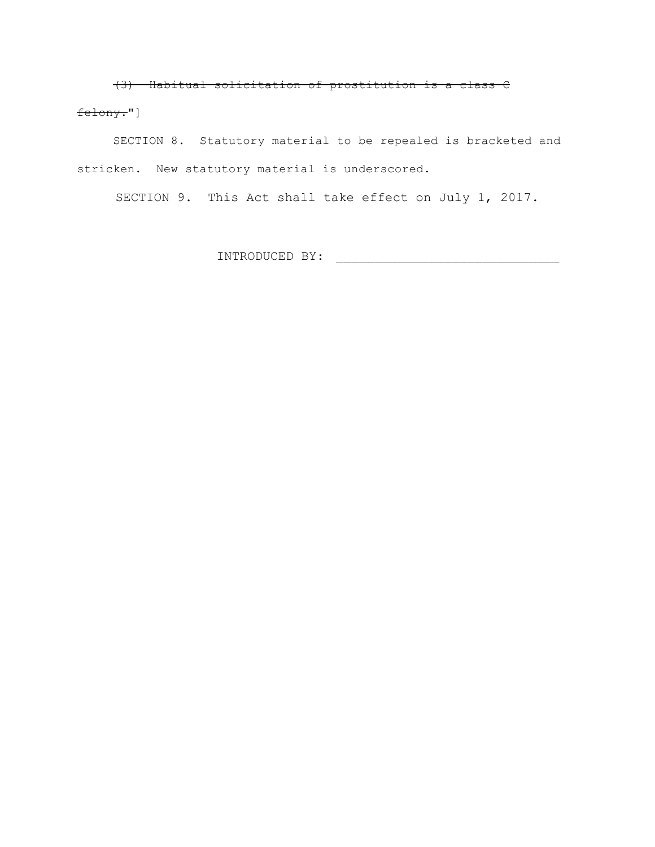(3) Habitual solicitation of prostitution is a class C

### felony."]

SECTION 8. Statutory material to be repealed is bracketed and stricken. New statutory material is underscored.

SECTION 9. This Act shall take effect on July 1, 2017.

INTRODUCED BY: